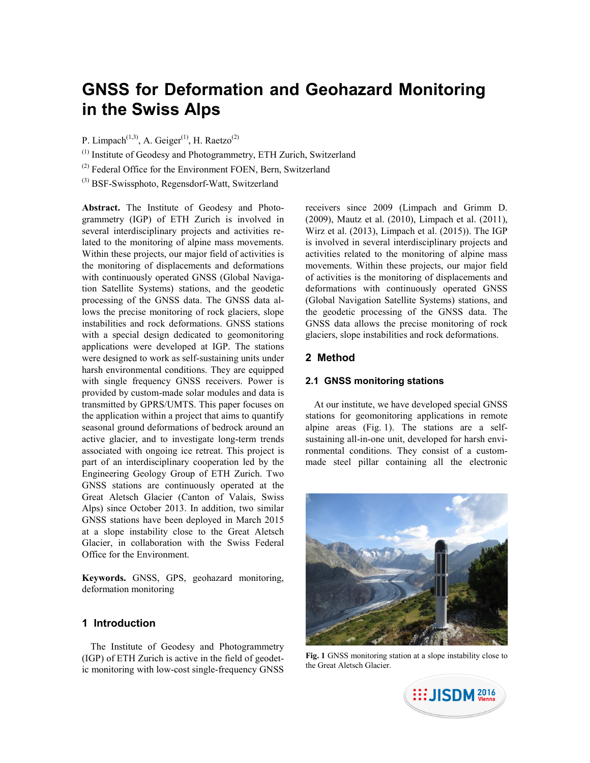# **GNSS for Deformation and Geohazard Monitoring in the Swiss Alps**

P. Limpach<sup>(1,3)</sup>, A. Geiger<sup>(1)</sup>, H. Raetzo<sup>(2)</sup>

(1) Institute of Geodesy and Photogrammetry, ETH Zurich, Switzerland

(2) Federal Office for the Environment FOEN, Bern, Switzerland

(3) BSF-Swissphoto, Regensdorf-Watt, Switzerland

**Abstract.** The Institute of Geodesy and Photogrammetry (IGP) of ETH Zurich is involved in several interdisciplinary projects and activities related to the monitoring of alpine mass movements. Within these projects, our major field of activities is the monitoring of displacements and deformations with continuously operated GNSS (Global Navigation Satellite Systems) stations, and the geodetic processing of the GNSS data. The GNSS data allows the precise monitoring of rock glaciers, slope instabilities and rock deformations. GNSS stations with a special design dedicated to geomonitoring applications were developed at IGP. The stations were designed to work as self-sustaining units under harsh environmental conditions. They are equipped with single frequency GNSS receivers. Power is provided by custom-made solar modules and data is transmitted by GPRS/UMTS. This paper focuses on the application within a project that aims to quantify seasonal ground deformations of bedrock around an active glacier, and to investigate long-term trends associated with ongoing ice retreat. This project is part of an interdisciplinary cooperation led by the Engineering Geology Group of ETH Zurich. Two GNSS stations are continuously operated at the Great Aletsch Glacier (Canton of Valais, Swiss Alps) since October 2013. In addition, two similar GNSS stations have been deployed in March 2015 at a slope instability close to the Great Aletsch Glacier, in collaboration with the Swiss Federal Office for the Environment.

**Keywords.** GNSS, GPS, geohazard monitoring, deformation monitoring

#### **1 Introduction**

The Institute of Geodesy and Photogrammetry (IGP) of ETH Zurich is active in the field of geodetic monitoring with low-cost single-frequency GNSS receivers since 2009 (Limpach and Grimm D. (2009), Mautz et al. (2010), Limpach et al. (2011), Wirz et al. (2013), Limpach et al. (2015)). The IGP is involved in several interdisciplinary projects and activities related to the monitoring of alpine mass movements. Within these projects, our major field of activities is the monitoring of displacements and deformations with continuously operated GNSS (Global Navigation Satellite Systems) stations, and the geodetic processing of the GNSS data. The GNSS data allows the precise monitoring of rock glaciers, slope instabilities and rock deformations.

## **2 Method**

#### **2.1 GNSS monitoring stations**

At our institute, we have developed special GNSS stations for geomonitoring applications in remote alpine areas (Fig. 1). The stations are a selfsustaining all-in-one unit, developed for harsh environmental conditions. They consist of a custommade steel pillar containing all the electronic



**Fig. 1** GNSS monitoring station at a slope instability close to the Great Aletsch Glacier.

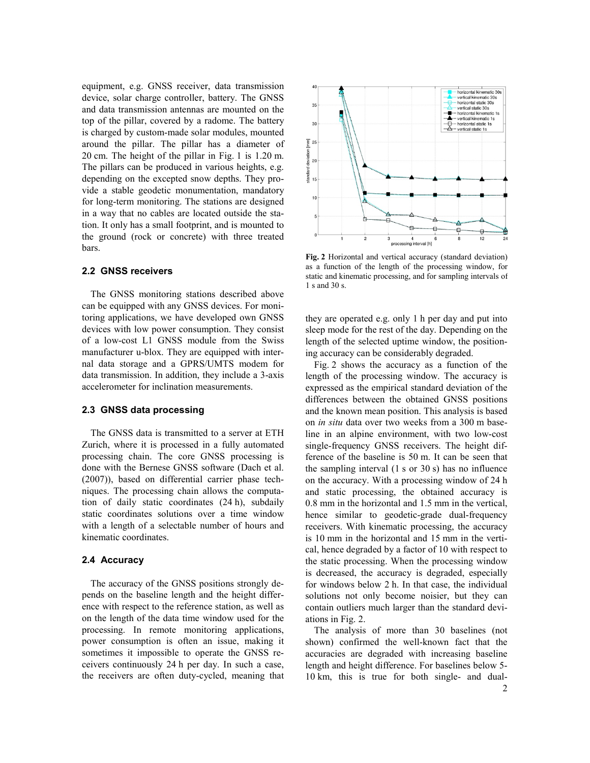equipment, e.g. GNSS receiver, data transmission device, solar charge controller, battery. The GNSS and data transmission antennas are mounted on the top of the pillar, covered by a radome. The battery is charged by custom-made solar modules, mounted around the pillar. The pillar has a diameter of 20 cm. The height of the pillar in Fig. 1 is 1.20 m. The pillars can be produced in various heights, e.g. depending on the excepted snow depths. They provide a stable geodetic monumentation, mandatory for long-term monitoring. The stations are designed in a way that no cables are located outside the station. It only has a small footprint, and is mounted to the ground (rock or concrete) with three treated bars.

#### **2.2 GNSS receivers**

The GNSS monitoring stations described above can be equipped with any GNSS devices. For monitoring applications, we have developed own GNSS devices with low power consumption. They consist of a low-cost L1 GNSS module from the Swiss manufacturer u-blox. They are equipped with internal data storage and a GPRS/UMTS modem for data transmission. In addition, they include a 3-axis accelerometer for inclination measurements.

#### **2.3 GNSS data processing**

The GNSS data is transmitted to a server at ETH Zurich, where it is processed in a fully automated processing chain. The core GNSS processing is done with the Bernese GNSS software (Dach et al. (2007)), based on differential carrier phase techniques. The processing chain allows the computation of daily static coordinates (24 h), subdaily static coordinates solutions over a time window with a length of a selectable number of hours and kinematic coordinates.

#### **2.4 Accuracy**

The accuracy of the GNSS positions strongly depends on the baseline length and the height difference with respect to the reference station, as well as on the length of the data time window used for the processing. In remote monitoring applications, power consumption is often an issue, making it sometimes it impossible to operate the GNSS receivers continuously 24 h per day. In such a case, the receivers are often duty-cycled, meaning that



**Fig. 2** Horizontal and vertical accuracy (standard deviation) as a function of the length of the processing window, for static and kinematic processing, and for sampling intervals of 1 s and 30 s.

they are operated e.g. only 1 h per day and put into sleep mode for the rest of the day. Depending on the length of the selected uptime window, the positioning accuracy can be considerably degraded.

Fig. 2 shows the accuracy as a function of the length of the processing window. The accuracy is expressed as the empirical standard deviation of the differences between the obtained GNSS positions and the known mean position. This analysis is based on *in situ* data over two weeks from a 300 m baseline in an alpine environment, with two low-cost single-frequency GNSS receivers. The height difference of the baseline is 50 m. It can be seen that the sampling interval (1 s or 30 s) has no influence on the accuracy. With a processing window of 24 h and static processing, the obtained accuracy is 0.8 mm in the horizontal and 1.5 mm in the vertical, hence similar to geodetic-grade dual-frequency receivers. With kinematic processing, the accuracy is 10 mm in the horizontal and 15 mm in the vertical, hence degraded by a factor of 10 with respect to the static processing. When the processing window is decreased, the accuracy is degraded, especially for windows below 2 h. In that case, the individual solutions not only become noisier, but they can contain outliers much larger than the standard deviations in Fig. 2.

The analysis of more than 30 baselines (not shown) confirmed the well-known fact that the accuracies are degraded with increasing baseline length and height difference. For baselines below 5- 10 km, this is true for both single- and dual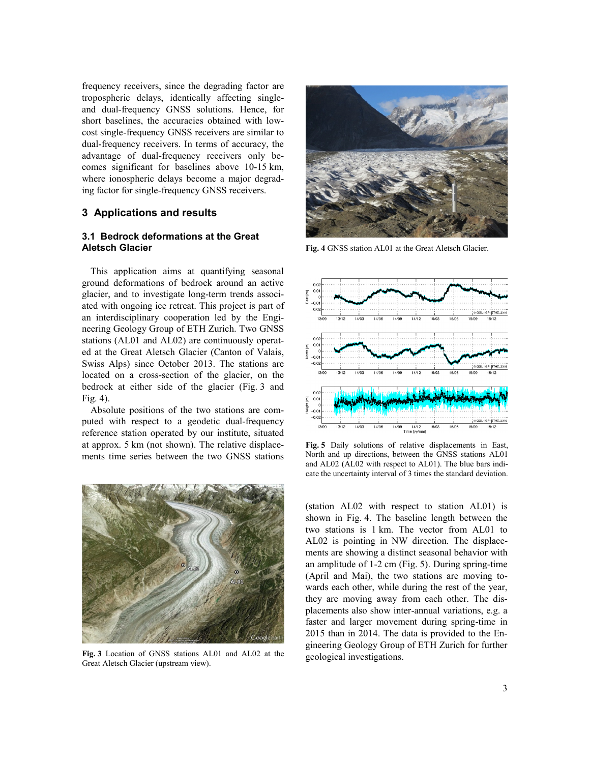frequency receivers, since the degrading factor are tropospheric delays, identically affecting singleand dual-frequency GNSS solutions. Hence, for short baselines, the accuracies obtained with lowcost single-frequency GNSS receivers are similar to dual-frequency receivers. In terms of accuracy, the advantage of dual-frequency receivers only becomes significant for baselines above 10-15 km, where ionospheric delays become a major degrading factor for single-frequency GNSS receivers.

### **3 Applications and results**

#### **3.1 Bedrock deformations at the Great Aletsch Glacier**

This application aims at quantifying seasonal ground deformations of bedrock around an active glacier, and to investigate long-term trends associated with ongoing ice retreat. This project is part of an interdisciplinary cooperation led by the Engineering Geology Group of ETH Zurich. Two GNSS stations (AL01 and AL02) are continuously operated at the Great Aletsch Glacier (Canton of Valais, Swiss Alps) since October 2013. The stations are located on a cross-section of the glacier, on the bedrock at either side of the glacier (Fig. 3 and Fig. 4).

Absolute positions of the two stations are computed with respect to a geodetic dual-frequency reference station operated by our institute, situated at approx. 5 km (not shown). The relative displacements time series between the two GNSS stations



**Fig. 3** Location of GNSS stations AL01 and AL02 at the Great Aletsch Glacier (upstream view).



**Fig. 4** GNSS station AL01 at the Great Aletsch Glacier.



**Fig. 5** Daily solutions of relative displacements in East, North and up directions, between the GNSS stations AL01 and AL02 (AL02 with respect to AL01). The blue bars indicate the uncertainty interval of 3 times the standard deviation.

(station AL02 with respect to station AL01) is shown in Fig. 4. The baseline length between the two stations is 1 km. The vector from AL01 to AL02 is pointing in NW direction. The displacements are showing a distinct seasonal behavior with an amplitude of 1-2 cm (Fig. 5). During spring-time (April and Mai), the two stations are moving towards each other, while during the rest of the year, they are moving away from each other. The displacements also show inter-annual variations, e.g. a faster and larger movement during spring-time in 2015 than in 2014. The data is provided to the Engineering Geology Group of ETH Zurich for further geological investigations.